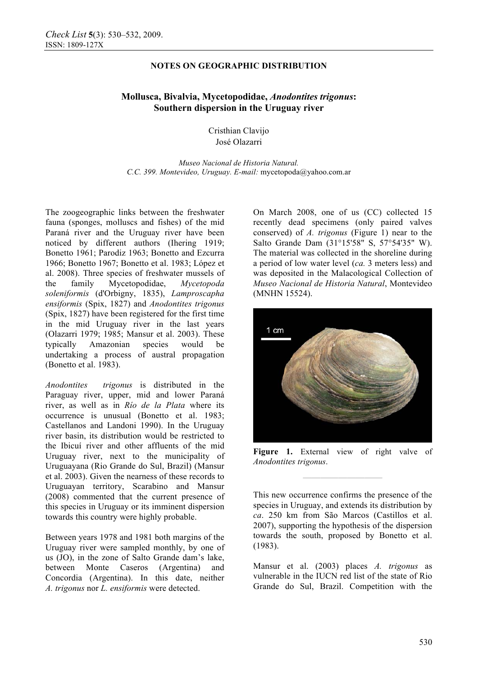## **NOTES ON GEOGRAPHIC DISTRIBUTION**

# **Mollusca, Bivalvia, Mycetopodidae,** *Anodontites trigonus***: Southern dispersion in the Uruguay river**

Cristhian Clavijo José Olazarri

*Museo Nacional de Historia Natural. C.C. 399. Montevideo, Uruguay. E-mail:* mycetopoda@yahoo.com.ar

The zoogeographic links between the freshwater fauna (sponges, molluscs and fishes) of the mid Paraná river and the Uruguay river have been noticed by different authors (Ihering 1919; Bonetto 1961; Parodiz 1963; Bonetto and Ezcurra 1966; Bonetto 1967; Bonetto et al. 1983; López et al. 2008). Three species of freshwater mussels of the family Mycetopodidae, *Mycetopoda soleniformis* (d'Orbigny, 1835), *Lamproscapha ensiformis* (Spix, 1827) and *Anodontites trigonus* (Spix, 1827) have been registered for the first time in the mid Uruguay river in the last years (Olazarri 1979; 1985; Mansur et al. 2003). These typically Amazonian species would be undertaking a process of austral propagation (Bonetto et al. 1983).

*Anodontites trigonus* is distributed in the Paraguay river, upper, mid and lower Paraná river, as well as in *Río de la Plata* where its occurrence is unusual (Bonetto et al. 1983; Castellanos and Landoni 1990). In the Uruguay river basin, its distribution would be restricted to the Ibicuí river and other affluents of the mid Uruguay river, next to the municipality of Uruguayana (Rio Grande do Sul, Brazil) (Mansur et al. 2003). Given the nearness of these records to Uruguayan territory, Scarabino and Mansur (2008) commented that the current presence of this species in Uruguay or its imminent dispersion towards this country were highly probable.

Between years 1978 and 1981 both margins of the Uruguay river were sampled monthly, by one of us (JO), in the zone of Salto Grande dam's lake, between Monte Caseros (Argentina) and Concordia (Argentina). In this date, neither *A. trigonus* nor *L. ensiformis* were detected.

On March 2008, one of us (CC) collected 15 recently dead specimens (only paired valves conserved) of *A. trigonus* (Figure 1) near to the Salto Grande Dam (31°15'58" S, 57°54'35" W). The material was collected in the shoreline during a period of low water level (*ca.* 3 meters less) and was deposited in the Malacological Collection of *Museo Nacional de Historia Natural*, Montevideo (MNHN 15524).



Figure 1. External view of right valve of *Anodontites trigonus*.

**—————————** 

This new occurrence confirms the presence of the species in Uruguay, and extends its distribution by *ca*. 250 km from São Marcos (Castillos et al. 2007), supporting the hypothesis of the dispersion towards the south, proposed by Bonetto et al. (1983).

Mansur et al. (2003) places *A. trigonus* as vulnerable in the IUCN red list of the state of Rio Grande do Sul, Brazil. Competition with the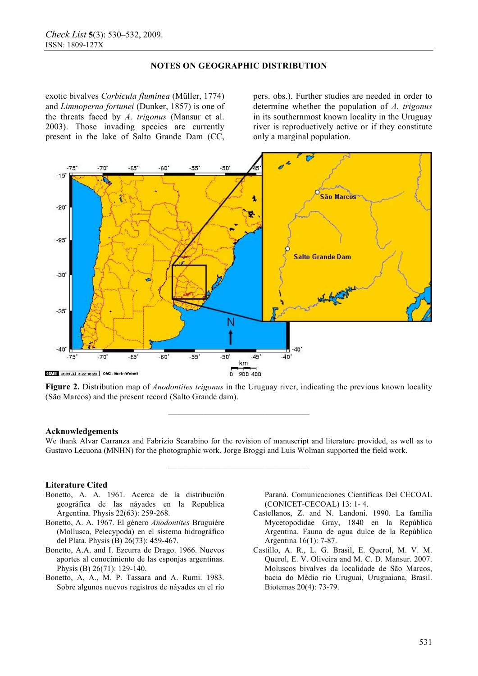## **NOTES ON GEOGRAPHIC DISTRIBUTION**

exotic bivalves *Corbicula fluminea* (Müller, 1774) and *Limnoperna fortunei* (Dunker, 1857) is one of the threats faced by *A. trigonus* (Mansur et al. 2003). Those invading species are currently present in the lake of Salto Grande Dam (CC,

pers. obs.). Further studies are needed in order to determine whether the population of *A. trigonus*  in its southernmost known locality in the Uruguay river is reproductively active or if they constitute only a marginal population.



**Figure 2.** Distribution map of *Anodontites trigonus* in the Uruguay river, indicating the previous known locality (São Marcos) and the present record (Salto Grande dam).

**————————————————**

#### **Acknowledgements**

We thank Alvar Carranza and Fabrizio Scarabino for the revision of manuscript and literature provided, as well as to Gustavo Lecuona (MNHN) for the photographic work. Jorge Broggi and Luis Wolman supported the field work.

**————————————————**

### **Literature Cited**

- Bonetto, A. A. 1961. Acerca de la distribución geográfica de las náyades en la Republica Argentina. Physis 22(63): 259-268.
- Bonetto, A. A. 1967. El género *Anodontites* Bruguière (Mollusca, Pelecypoda) en el sistema hidrográfico del Plata. Physis (B) 26(73): 459-467.
- Bonetto, A.A. and I. Ezcurra de Drago. 1966. Nuevos aportes al conocimiento de las esponjas argentinas. Physis (B) 26(71): 129-140.
- Bonetto, A, A., M. P. Tassara and A. Rumi. 1983. Sobre algunos nuevos registros de náyades en el río

Paraná. Comunicaciones Científicas Del CECOAL (CONICET-CECOAL) 13: 1- 4.

- Castellanos, Z. and N. Landoni. 1990. La familia Mycetopodidae Gray, 1840 en la República Argentina. Fauna de agua dulce de la República Argentina 16(1): 7-87.
- Castillo, A. R., L. G. Brasil, E. Querol, M. V. M. Querol, E. V. Oliveira and M. C. D. Mansur. 2007. Moluscos bivalves da localidade de São Marcos, bacia do Médio rio Uruguai, Uruguaiana, Brasil. Biotemas 20(4): 73-79.